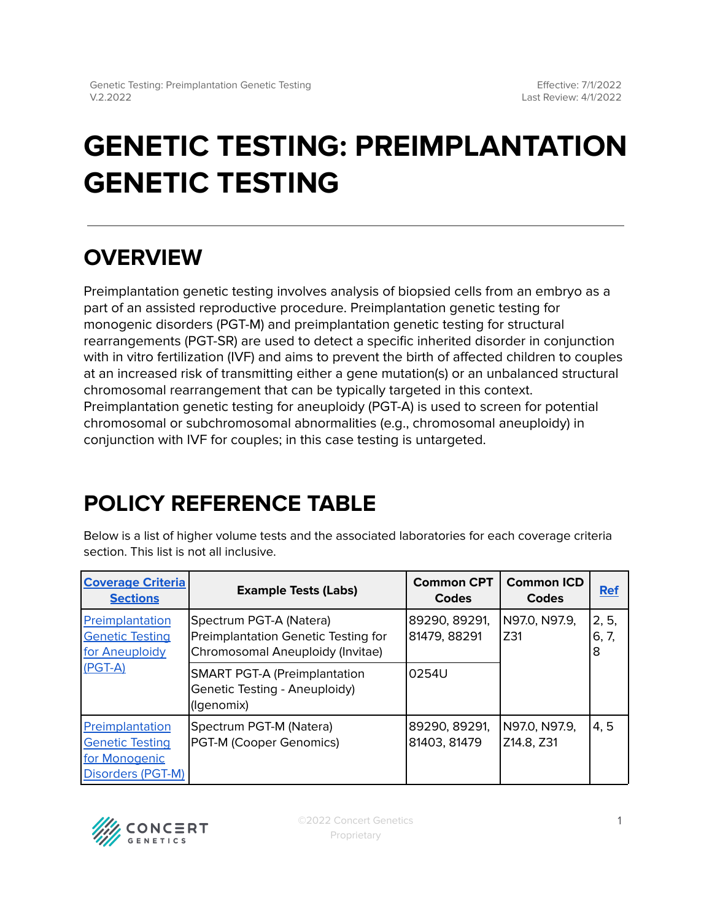# **GENETIC TESTING: PREIMPLANTATION GENETIC TESTING**

## **OVERVIEW**

Preimplantation genetic testing involves analysis of biopsied cells from an embryo as a part of an assisted reproductive procedure. Preimplantation genetic testing for monogenic disorders (PGT-M) and preimplantation genetic testing for structural rearrangements (PGT-SR) are used to detect a specific inherited disorder in conjunction with in vitro fertilization (IVF) and aims to prevent the birth of affected children to couples at an increased risk of transmitting either a gene mutation(s) or an unbalanced structural chromosomal rearrangement that can be typically targeted in this context. Preimplantation genetic testing for aneuploidy (PGT-A) is used to screen for potential chromosomal or subchromosomal abnormalities (e.g., chromosomal aneuploidy) in conjunction with IVF for couples; in this case testing is untargeted.

# <span id="page-0-0"></span>**POLICY REFERENCE TABLE**

Below is a list of higher volume tests and the associated laboratories for each coverage criteria section. This list is not all inclusive.

| <b>Coverage Criteria</b><br><b>Sections</b>                                     | <b>Example Tests (Labs)</b>                                                                        | <b>Common CPT</b><br><b>Codes</b> | <b>Common ICD</b><br>Codes  | <b>Ref</b>          |
|---------------------------------------------------------------------------------|----------------------------------------------------------------------------------------------------|-----------------------------------|-----------------------------|---------------------|
| Preimplantation<br><b>Genetic Testing</b><br>for Aneuploidy<br>$(PGT-A)$        | Spectrum PGT-A (Natera)<br>Preimplantation Genetic Testing for<br>Chromosomal Aneuploidy (Invitae) | 89290, 89291,<br>81479, 88291     | N97.0, N97.9,<br>IZ31       | 2, 5,<br>6, 7,<br>8 |
|                                                                                 | <b>SMART PGT-A (Preimplantation</b><br>Genetic Testing - Aneuploidy)<br>(Igenomix)                 | 0254U                             |                             |                     |
| Preimplantation<br><b>Genetic Testing</b><br>for Monogenic<br>Disorders (PGT-M) | Spectrum PGT-M (Natera)<br>PGT-M (Cooper Genomics)                                                 | 89290, 89291,<br>81403, 81479     | N97.0. N97.9.<br>Z14.8, Z31 | 4, 5                |

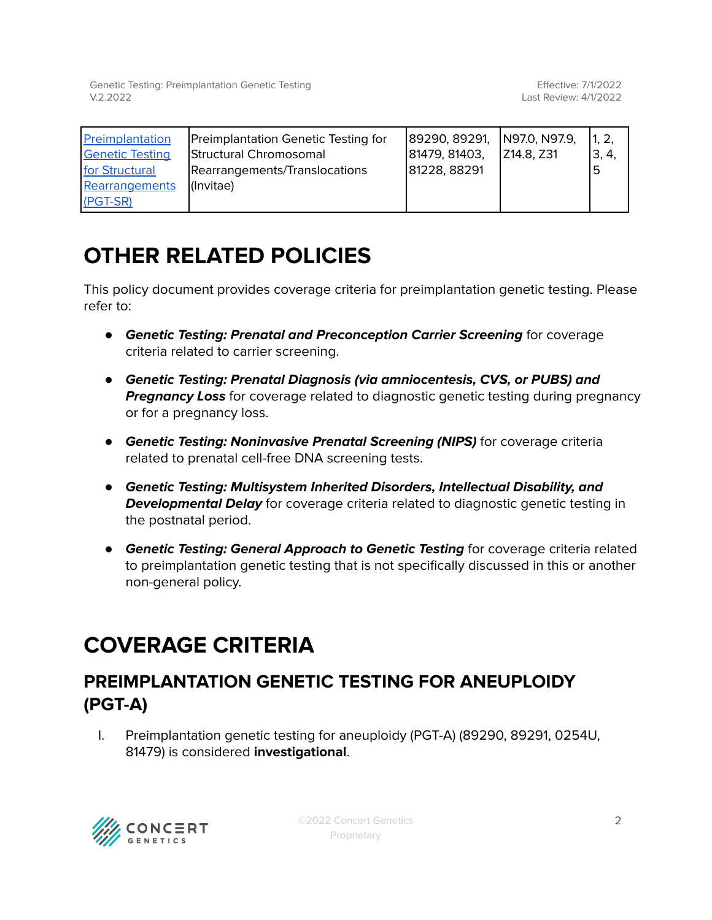Genetic Testing: Preimplantation Genetic Testing V.2.2022

| Preimplantation        | Preimplantation Genetic Testing for | 89290, 89291, | N97.0, N97.9, | 1, 2, |
|------------------------|-------------------------------------|---------------|---------------|-------|
| <b>Genetic Testing</b> | Structural Chromosomal              | 81479, 81403, | Z14.8, Z31    | 3, 4, |
| for Structural         | Rearrangements/Translocations       | 81228, 88291  |               |       |
| Rearrangements         | l(Invitae)                          |               |               |       |
| (PGT-SR)               |                                     |               |               |       |

### **OTHER RELATED POLICIES**

This policy document provides coverage criteria for preimplantation genetic testing. Please refer to:

- **Genetic Testing: Prenatal and Preconception Carrier Screening** for coverage criteria related to carrier screening.
- **Genetic Testing: Prenatal Diagnosis (via amniocentesis, CVS, or PUBS) and Pregnancy Loss** for coverage related to diagnostic genetic testing during pregnancy or for a pregnancy loss.
- *●* **Genetic Testing: Noninvasive Prenatal Screening (NIPS)** for coverage criteria related to prenatal cell-free DNA screening tests.
- *●* **Genetic Testing: Multisystem Inherited Disorders, Intellectual Disability, and Developmental Delay** for coverage criteria related to diagnostic genetic testing in the postnatal period.
- **Genetic Testing: General Approach to Genetic Testing** for coverage criteria related to preimplantation genetic testing that is not specifically discussed in this or another non-general policy.

### <span id="page-1-0"></span>**COVERAGE CRITERIA**

#### <span id="page-1-1"></span>**PREIMPLANTATION GENETIC TESTING FOR ANEUPLOIDY (PGT-A)**

I. Preimplantation genetic testing for aneuploidy (PGT-A) (89290, 89291, 0254U, 81479) is considered **investigational**.

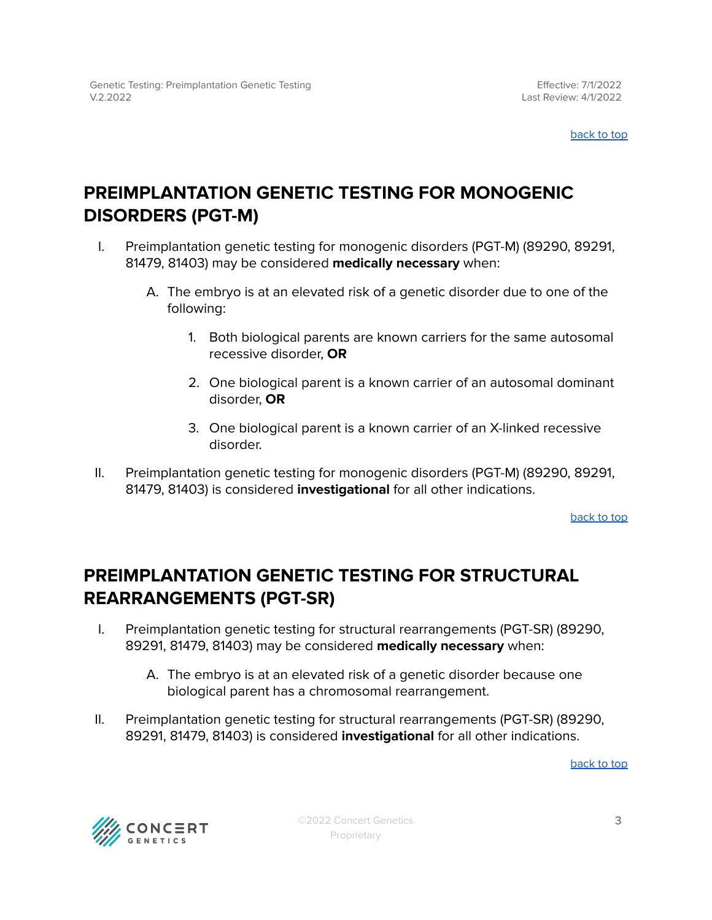[back](#page-0-0) to top

#### <span id="page-2-0"></span>**PREIMPLANTATION GENETIC TESTING FOR MONOGENIC DISORDERS (PGT-M)**

- I. Preimplantation genetic testing for monogenic disorders (PGT-M) (89290, 89291, 81479, 81403) may be considered **medically necessary** when:
	- A. The embryo is at an elevated risk of a genetic disorder due to one of the following:
		- 1. Both biological parents are known carriers for the same autosomal recessive disorder, **OR**
		- 2. One biological parent is a known carrier of an autosomal dominant disorder, **OR**
		- 3. One biological parent is a known carrier of an X-linked recessive disorder.
- II. Preimplantation genetic testing for monogenic disorders (PGT-M) (89290, 89291, 81479, 81403) is considered **investigational** for all other indications.

[back](#page-0-0) to top

#### <span id="page-2-1"></span>**PREIMPLANTATION GENETIC TESTING FOR STRUCTURAL REARRANGEMENTS (PGT-SR)**

- I. Preimplantation genetic testing for structural rearrangements (PGT-SR) (89290, 89291, 81479, 81403) may be considered **medically necessary** when:
	- A. The embryo is at an elevated risk of a genetic disorder because one biological parent has a chromosomal rearrangement.
- II. Preimplantation genetic testing for structural rearrangements (PGT-SR) (89290, 89291, 81479, 81403) is considered **investigational** for all other indications.

[back](#page-0-0) to top

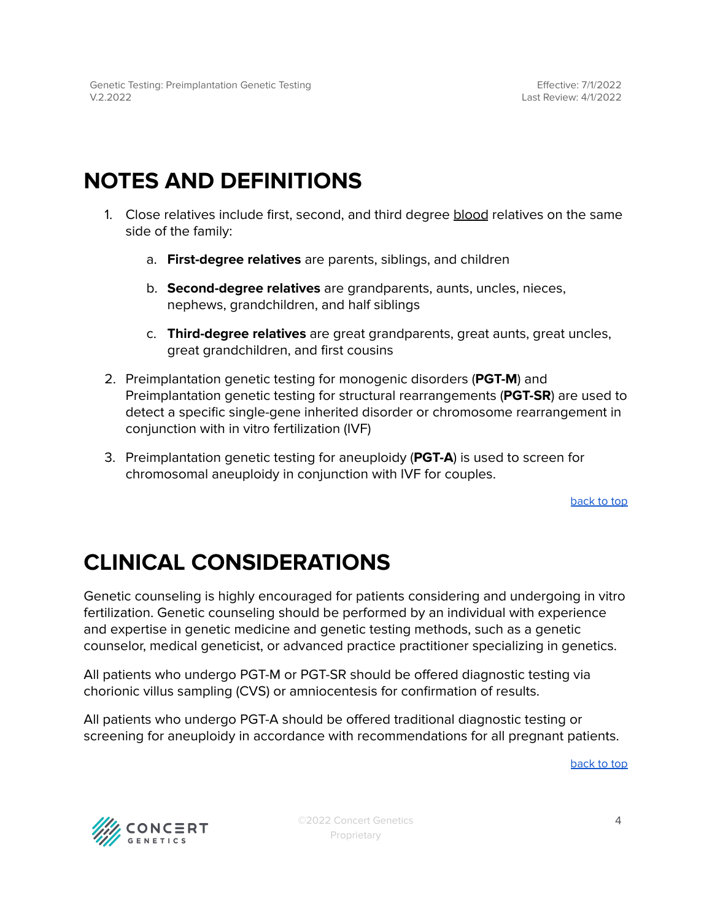#### **NOTES AND DEFINITIONS**

- 1. Close relatives include first, second, and third degree blood relatives on the same side of the family:
	- a. **First-degree relatives** are parents, siblings, and children
	- b. **Second-degree relatives** are grandparents, aunts, uncles, nieces, nephews, grandchildren, and half siblings
	- c. **Third-degree relatives** are great grandparents, great aunts, great uncles, great grandchildren, and first cousins
- 2. Preimplantation genetic testing for monogenic disorders (**PGT-M**) and Preimplantation genetic testing for structural rearrangements (**PGT-SR**) are used to detect a specific single-gene inherited disorder or chromosome rearrangement in conjunction with in vitro fertilization (IVF)
- 3. Preimplantation genetic testing for aneuploidy (**PGT-A**) is used to screen for chromosomal aneuploidy in conjunction with IVF for couples.

[back](#page-0-0) to top

# **CLINICAL CONSIDERATIONS**

Genetic counseling is highly encouraged for patients considering and undergoing in vitro fertilization. Genetic counseling should be performed by an individual with experience and expertise in genetic medicine and genetic testing methods, such as a genetic counselor, medical geneticist, or advanced practice practitioner specializing in genetics.

All patients who undergo PGT-M or PGT-SR should be offered diagnostic testing via chorionic villus sampling (CVS) or amniocentesis for confirmation of results.

All patients who undergo PGT-A should be offered traditional diagnostic testing or screening for aneuploidy in accordance with recommendations for all pregnant patients.

[back](#page-0-0) to top



©2022 Concert Genetics Proprietary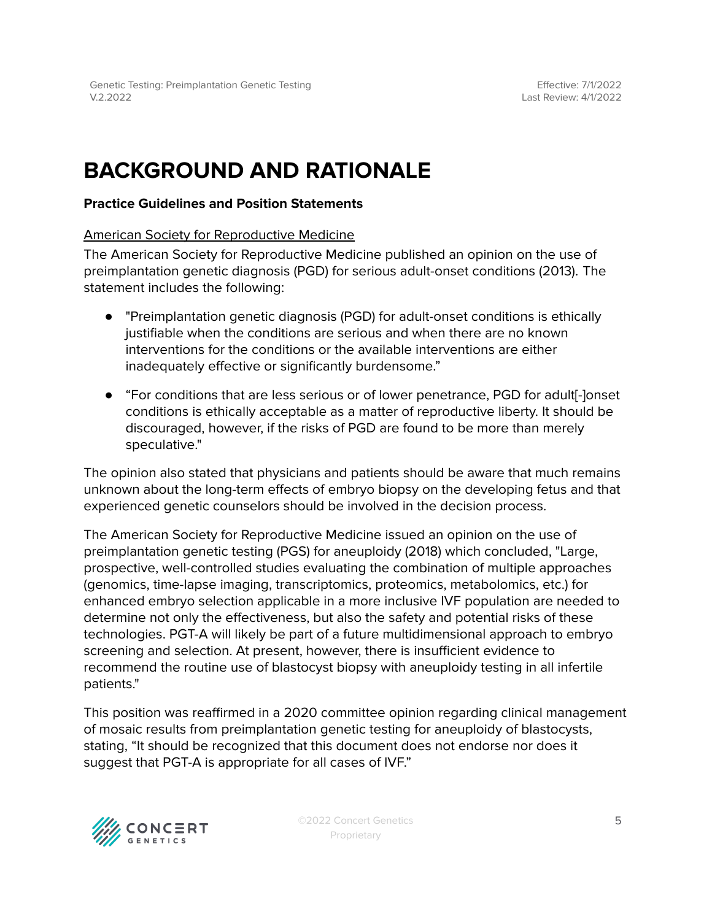### **BACKGROUND AND RATIONALE**

#### **Practice Guidelines and Position Statements**

#### American Society for Reproductive Medicine

The American Society for Reproductive Medicine published an opinion on the use of preimplantation genetic diagnosis (PGD) for serious adult-onset conditions (2013). The statement includes the following:

- "Preimplantation genetic diagnosis (PGD) for adult-onset conditions is ethically justifiable when the conditions are serious and when there are no known interventions for the conditions or the available interventions are either inadequately effective or significantly burdensome."
- "For conditions that are less serious or of lower penetrance, PGD for adult<sup>[-</sup>]onset conditions is ethically acceptable as a matter of reproductive liberty. It should be discouraged, however, if the risks of PGD are found to be more than merely speculative."

The opinion also stated that physicians and patients should be aware that much remains unknown about the long-term effects of embryo biopsy on the developing fetus and that experienced genetic counselors should be involved in the decision process.

The American Society for Reproductive Medicine issued an opinion on the use of preimplantation genetic testing (PGS) for aneuploidy (2018) which concluded, "Large, prospective, well-controlled studies evaluating the combination of multiple approaches (genomics, time-lapse imaging, transcriptomics, proteomics, metabolomics, etc.) for enhanced embryo selection applicable in a more inclusive IVF population are needed to determine not only the effectiveness, but also the safety and potential risks of these technologies. PGT-A will likely be part of a future multidimensional approach to embryo screening and selection. At present, however, there is insufficient evidence to recommend the routine use of blastocyst biopsy with aneuploidy testing in all infertile patients."

This position was reaffirmed in a 2020 committee opinion regarding clinical management of mosaic results from preimplantation genetic testing for aneuploidy of blastocysts, stating, "It should be recognized that this document does not endorse nor does it suggest that PGT-A is appropriate for all cases of IVF."



©2022 Concert Genetics Proprietary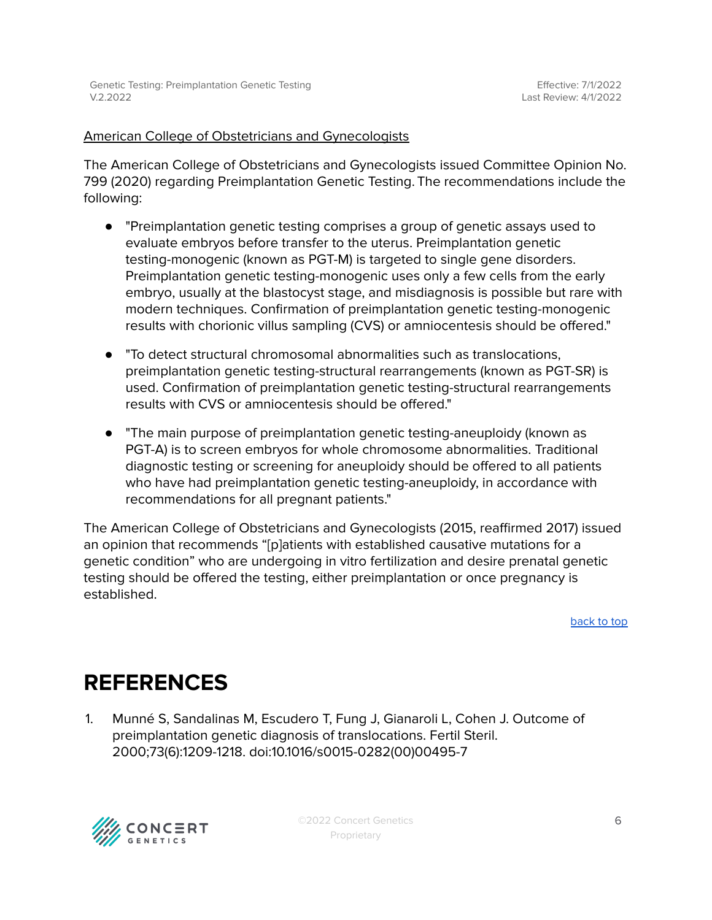#### American College of Obstetricians and Gynecologists

The American College of Obstetricians and Gynecologists issued Committee Opinion No. 799 (2020) regarding Preimplantation Genetic Testing. The recommendations include the following:

- "Preimplantation genetic testing comprises a group of genetic assays used to evaluate embryos before transfer to the uterus. Preimplantation genetic testing-monogenic (known as PGT-M) is targeted to single gene disorders. Preimplantation genetic testing-monogenic uses only a few cells from the early embryo, usually at the blastocyst stage, and misdiagnosis is possible but rare with modern techniques. Confirmation of preimplantation genetic testing-monogenic results with chorionic villus sampling (CVS) or amniocentesis should be offered."
- "To detect structural chromosomal abnormalities such as translocations, preimplantation genetic testing-structural rearrangements (known as PGT-SR) is used. Confirmation of preimplantation genetic testing-structural rearrangements results with CVS or amniocentesis should be offered."
- "The main purpose of preimplantation genetic testing-aneuploidy (known as PGT-A) is to screen embryos for whole chromosome abnormalities. Traditional diagnostic testing or screening for aneuploidy should be offered to all patients who have had preimplantation genetic testing-aneuploidy, in accordance with recommendations for all pregnant patients."

The American College of Obstetricians and Gynecologists (2015, reaffirmed 2017) issued an opinion that recommends "[p]atients with established causative mutations for a genetic condition" who are undergoing in vitro fertilization and desire prenatal genetic testing should be offered the testing, either preimplantation or once pregnancy is established.

[back](#page-0-0) to top

#### <span id="page-5-0"></span>**REFERENCES**

1. Munné S, Sandalinas M, Escudero T, Fung J, Gianaroli L, Cohen J. Outcome of preimplantation genetic diagnosis of translocations. Fertil Steril. 2000;73(6):1209-1218. doi:10.1016/s0015-0282(00)00495-7